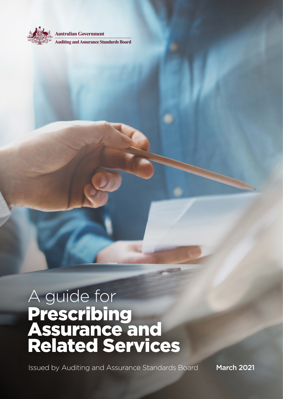

**Australian Government** 

**Auditing and Assurance Standards Board** 

# A guide for **Prescribing** Assurance and Related Services

Issued by Auditing and Assurance Standards Board March 2021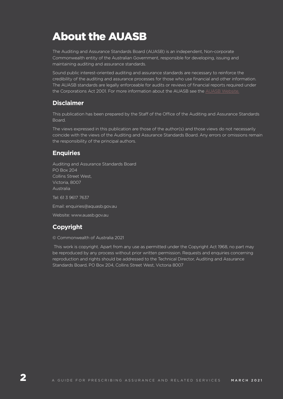## About the AUASB

The Auditing and Assurance Standards Board (AUASB) is an independent, Non-corporate Commonwealth entity of the Australian Government, responsible for developing, issuing and maintaining auditing and assurance standards.

Sound public interest-oriented auditing and assurance standards are necessary to reinforce the credibility of the auditing and assurance processes for those who use financial and other information. The AUASB standards are legally enforceable for audits or reviews of financial reports required under the Corporations Act 2001. For more information about the AUASB see the [AUASB Website.](www.auasb.gov.au)

## **Disclaimer**

This publication has been prepared by the Staff of the Office of the Auditing and Assurance Standards Board.

The views expressed in this publication are those of the author(s) and those views do not necessarily coincide with the views of the Auditing and Assurance Standards Board. Any errors or omissions remain the responsibility of the principal authors.

## **Enquiries**

Auditing and Assurance Standards Board PO Box 204 Collins Street West, Victoria, 8007 Australia Tel: 61 3 9617 7637 Email: enquiries@aquasb.gov.au

Website: www.auasb.gov.au

## **Copyright**

#### © Commonwealth of Australia 2021

 This work is copyright. Apart from any use as permitted under the Copyright Act 1968, no part may be reproduced by any process without prior written permission. Requests and enquiries concerning reproduction and rights should be addressed to the Technical Director, Auditing and Assurance Standards Board, PO Box 204, Collins Street West, Victoria 8007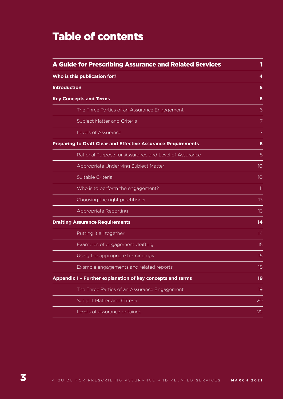## Table of contents

| <b>A Guide for Prescribing Assurance and Related Services</b>        |    |
|----------------------------------------------------------------------|----|
| Who is this publication for?                                         | 4  |
| <b>Introduction</b>                                                  | 5  |
| <b>Key Concepts and Terms</b>                                        | 6  |
| The Three Parties of an Assurance Engagement                         | 6  |
| Subject Matter and Criteria                                          | 7  |
| Levels of Assurance                                                  | 7  |
| <b>Preparing to Draft Clear and Effective Assurance Requirements</b> | 8  |
| Rational Purpose for Assurance and Level of Assurance                | 8  |
| Appropriate Underlying Subject Matter                                | 10 |
| Suitable Criteria                                                    | 10 |
| Who is to perform the engagement?                                    | 11 |
| Choosing the right practitioner                                      | 13 |
| Appropriate Reporting                                                | 13 |
| <b>Drafting Assurance Requirements</b>                               | 14 |
| Putting it all together                                              | 14 |
| Examples of engagement drafting                                      | 15 |
| Using the appropriate terminology                                    | 16 |
| Example engagements and related reports                              | 18 |
| Appendix 1 - Further explanation of key concepts and terms           | 19 |
| The Three Parties of an Assurance Engagement                         | 19 |
| Subject Matter and Criteria                                          | 20 |
| Levels of assurance obtained                                         | 22 |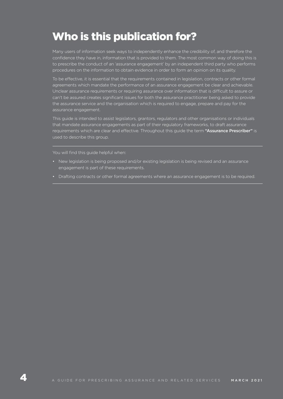## Who is this publication for?

Many users of information seek ways to independently enhance the credibility of, and therefore the confidence they have in, information that is provided to them. The most common way of doing this is to prescribe the conduct of an 'assurance engagement' by an independent third party who performs procedures on the information to obtain evidence in order to form an opinion on its quality.

To be effective, it is essential that the requirements contained in legislation, contracts or other formal agreements which mandate the performance of an assurance engagement be clear and achievable. Unclear assurance requirements or requiring assurance over information that is difficult to assure or can't be assured creates significant issues for both the assurance practitioner being asked to provide the assurance service and the organisation which is required to engage, prepare and pay for the assurance engagement.

This guide is intended to assist legislators, grantors, regulators and other organisations or individuals that mandate assurance engagements as part of their regulatory frameworks, to draft assurance requirements which are clear and effective. Throughout this guide the term "Assurance Prescriber" is used to describe this group.

You will find this guide helpful when:

- New legislation is being proposed and/or existing legislation is being revised and an assurance engagement is part of these requirements.
- Drafting contracts or other formal agreements where an assurance engagement is to be required.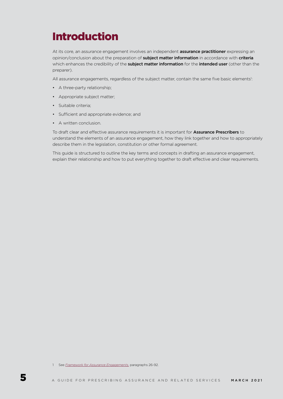## Introduction

At its core, an assurance engagement involves an independent **assurance practitioner** expressing an opinion/conclusion about the preparation of subject matter information in accordance with criteria which enhances the credibility of the subject matter information for the intended user (other than the preparer).

All assurance engagements, regardless of the subject matter, contain the same five basic elements<sup>1</sup>:

- A three-party relationship:
- Appropriate subject matter;
- Suitable criteria;
- Sufficient and appropriate evidence; and
- A written conclusion.

To draft clear and effective assurance requirements it is important for **Assurance Prescribers** to understand the elements of an assurance engagement, how they link together and how to appropriately describe them in the legislation, constitution or other formal agreement.

This guide is structured to outline the key terms and concepts in drafting an assurance engagement, explain their relationship and how to put everything together to draft effective and clear requirements.

<sup>1</sup> See *[Framework for Assurance Engagements,](https://www.auasb.gov.au/admin/file/content102/c3/Framework_AssuranceEngagements_May20_FINAL.pdf)* paragraphs 26-92.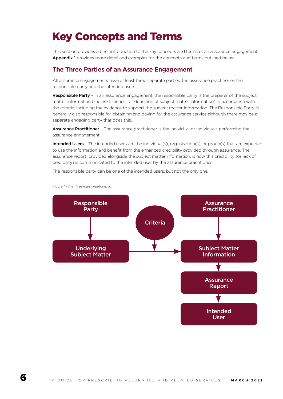## Key Concepts and Terms

This section provides a brief introduction to the key concepts and terms of an assurance engagement. Appendix 1 provides more detail and examples for the concepts and terms outlined below.

## **The Three Parties of an Assurance Engagement**

All assurance engagements have at least three separate parties, the assurance practitioner, the responsible party and the intended users.

Responsible Party - In an assurance engagement, the responsible party is the preparer of the subject matter information (see next section for definition of subject matter information) in accordance with the criteria, including the evidence to support the subject matter information. The Responsible Party is generally also responsible for obtaining and paying for the assurance service although there may be a separate engaging party that does this.

Assurance Practitioner - The assurance practitioner is the individual or individuals performing the assurance engagement.

Intended Users - The intended users are the individual(s), organisation(s), or group(s) that are expected to use the information and benefit from the enhanced credibility provided through assurance. The assurance report, provided alongside the subject matter information, is how this credibility (or lack of credibility) is communicated to the intended user by the assurance practitioner.

The responsible party can be one of the intended users, but not the only one.



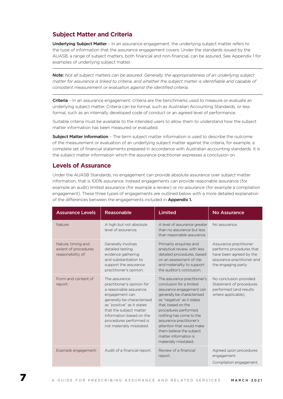## **Subject Matter and Criteria**

Underlying Subject Matter - In an assurance engagement, the underlying subject matter refers to the type of information that the assurance engagement covers. Under the standards issued by the AUASB, a range of subject matters, both financial and non-financial, can be assured. See Appendix 1 for examples of underlying subject matter.

Note: *Not all subject matters can be assured. Generally, the appropriateness of an underlying subject matter for assurance is linked to criteria, and whether the subject matter is identifiable and capable of consistent measurement or evaluation against the identified criteria.* 

Criteria - In an assurance engagement, criteria are the benchmarks used to measure or evaluate an underlying subject matter. Criteria can be formal, such as Australian Accounting Standards, or less formal, such as an internally developed code of conduct or an agreed level of performance.

Suitable criteria must be available to the intended users to allow them to understand how the subject matter information has been measured or evaluated.

**Subject Matter Information** - The term subject matter information is used to describe the outcome of the measurement or evaluation of an underlying subject matter against the criteria, for example, a complete set of financial statements prepared in accordance with Australian accounting standards. It is the subject matter information which the assurance practitioner expresses a conclusion on.

### **Levels of Assurance**

Under the AUASB Standards, no engagement can provide absolute assurance over subject matter information, that is 100% assurance. Instead engagements can provide reasonable assurance (for example an audit) limited assurance (for example a review) or no assurance (for example a compilation engagement). These three types of engagements are outlined below with a more detailed explanation of the differences between the engagements included in Appendix 1.

| <b>Assurance Levels</b>                                          | Reasonable                                                                                                                                                                                                                                                         | Limited                                                                                                                                                                                                                                                                                                                                                           | <b>No Assurance</b>                                                                                                               |
|------------------------------------------------------------------|--------------------------------------------------------------------------------------------------------------------------------------------------------------------------------------------------------------------------------------------------------------------|-------------------------------------------------------------------------------------------------------------------------------------------------------------------------------------------------------------------------------------------------------------------------------------------------------------------------------------------------------------------|-----------------------------------------------------------------------------------------------------------------------------------|
| Nature:                                                          | A high but not absolute<br>level of assurance.                                                                                                                                                                                                                     | A level of assurance greater<br>than no assurance but less<br>than reasonable assurance.                                                                                                                                                                                                                                                                          | No assurance.                                                                                                                     |
| Nature, timing and<br>extent of procedures<br>responsibility of: | Generally involves<br>detailed testing,<br>evidence gathering<br>and substantiation to<br>support the assurance<br>practitioner's opinion.                                                                                                                         | Primarily enquiries and<br>analytical review, with less<br>detailed procedures, based<br>on an assessment of risk<br>and materiality to support<br>the auditor's conclusion.                                                                                                                                                                                      | Assurance practitioner<br>performs procedures that<br>have been agreed by the<br>assurance practitioner and<br>the engaging party |
| Form and content of<br>report:                                   | The assurance<br>practitioner's opinion for<br>a reasonable assurance<br>engagement can<br>generally be characterised<br>as "positive" as it states<br>that the subject matter<br>information based on the<br>procedures performed is<br>not materially misstated. | The assurance practitioner's<br>conclusion for a limited<br>assurance engagement can<br>generally be characterised<br>as "negative" as it states<br>that, based on the<br>procedures performed,<br>nothing has come to the<br>assurance practitioner's<br>attention that would make<br>them believe the subject<br>matter information is<br>materially misstated. | No conclusion provided.<br>Statement of procedures<br>performed (and results<br>where applicable).                                |
| Example engagement:                                              | Audit of a financial report.                                                                                                                                                                                                                                       | Review of a financial<br>report.                                                                                                                                                                                                                                                                                                                                  | Agreed upon procedures<br>engagement.<br>Compilation engagement.                                                                  |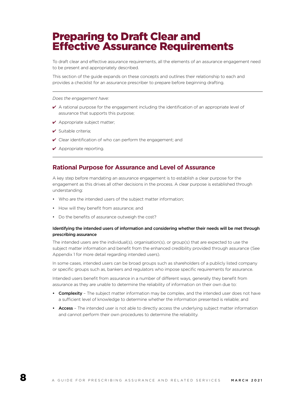## Preparing to Draft Clear and Effective Assurance Requirements

To draft clear and effective assurance requirements, all the elements of an assurance engagement need to be present and appropriately described.

This section of the guide expands on these concepts and outlines their relationship to each and provides a checklist for an assurance prescriber to prepare before beginning drafting.

*Does the engagement have:*

- $\vee$  A rational purpose for the engagement including the identification of an appropriate level of assurance that supports this purpose;
- ◆ Appropriate subject matter;
- $\triangleright$  Suitable criteria:
- $\vee$  Clear identification of who can perform the engagement; and
- $\vee$  Appropriate reporting.

#### **Rational Purpose for Assurance and Level of Assurance**

A key step before mandating an assurance engagement is to establish a clear purpose for the engagement as this drives all other decisions in the process. A clear purpose is established through understanding:

- Who are the intended users of the subject matter information;
- How will they benefit from assurance; and
- Do the benefits of assurance outweigh the cost?

#### Identifying the intended users of information and considering whether their needs will be met through prescribing assurance

The intended users are the individual(s), organisation(s), or group(s) that are expected to use the subject matter information and benefit from the enhanced credibility provided through assurance (See Appendix 1 for more detail regarding intended users).

In some cases, intended users can be broad groups such as shareholders of a publicly listed company or specific groups such as, bankers and regulators who impose specific requirements for assurance.

Intended users benefit from assurance in a number of different ways, generally they benefit from assurance as they are unable to determine the reliability of information on their own due to:

- Complexity The subject matter information may be complex, and the intended user does not have a sufficient level of knowledge to determine whether the information presented is reliable; and
- Access The intended user is not able to directly access the underlying subject matter information and cannot perform their own procedures to determine the reliability.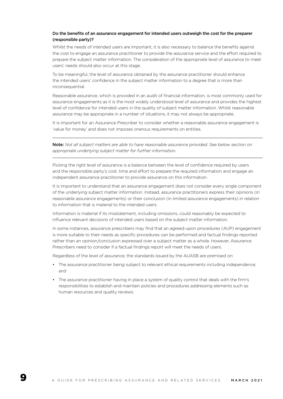#### Do the benefits of an assurance engagement for intended users outweigh the cost for the preparer (responsible party)?

Whilst the needs of intended users are important, it is also necessary to balance the benefits against the cost to engage an assurance practitioner to provide the assurance service and the effort required to prepare the subject matter information. The consideration of the appropriate level of assurance to meet users' needs should also occur at this stage.

To be meaningful, the level of assurance obtained by the assurance practitioner should enhance the intended users' confidence in the subject matter information to a degree that is more than inconsequential.

Reasonable assurance, which is provided in an audit of financial information, is most commonly used for assurance engagements as it is the most widely understood level of assurance and provides the highest level of confidence for intended users in the quality of subject matter information. Whilst reasonable assurance may be appropriate in a number of situations, it may not always be appropriate.

It is important for an Assurance Prescriber to consider whether a reasonable assurance engagement is 'value for money' and does not imposes onerous requirements on entities.

Note: *Not all subject matters are able to have reasonable assurance provided. See below section on appropriate underlying subject matter for further information.* 

Picking the right level of assurance is a balance between the level of confidence required by users and the responsible party's cost, time and effort to prepare the required information and engage an independent assurance practitioner to provide assurance on this information.

It is important to understand that an assurance engagement does not consider every single component of the underlying subject matter information. Instead, assurance practitioners express their opinions (in reasonable assurance engagements) or their conclusion (in limited assurance engagements) in relation to information that is material to the intended users.

Information is material if its misstatement, including omissions, could reasonably be expected to influence relevant decisions of intended users based on the subject matter information.

In some instances, assurance prescribers may find that an agreed-upon procedures (AUP) engagement is more suitable to their needs as specific procedures can be performed and factual findings reported rather than an opinion/conclusion expressed over a subject matter as a whole. However, Assurance Prescribers need to consider if a factual findings report will meet the needs of users.

Regardless of the level of assurance, the standards issued by the AUASB are premised on:

- The assurance practitioner being subject to relevant ethical requirements including independence; and
- The assurance practitioner having in place a system of quality control that deals with the firm's responsibilities to establish and maintain policies and procedures addressing elements such as human resources and quality reviews.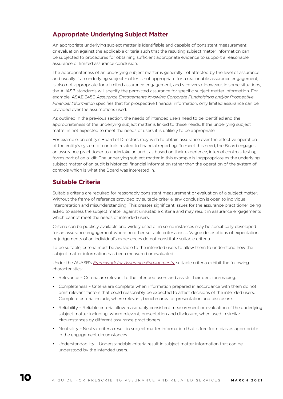## **Appropriate Underlying Subject Matter**

An appropriate underlying subject matter is identifiable and capable of consistent measurement or evaluation against the applicable criteria such that the resulting subject matter information can be subjected to procedures for obtaining sufficient appropriate evidence to support a reasonable assurance or limited assurance conclusion.

The appropriateness of an underlying subject matter is generally not affected by the level of assurance and usually if an underlying subject matter is not appropriate for a reasonable assurance engagement, it is also not appropriate for a limited assurance engagement, and vice versa. However, in some situations, the AUASB standards will specify the permitted assurance for specific subject matter information. For example, ASAE 3450 *Assurance Engagements involving Corporate Fundraisings and/or Prospective Financial Information* specifies that for prospective financial information, only limited assurance can be provided over the assumptions used.

As outlined in the previous section, the needs of intended users need to be identified and the appropriateness of the underlying subject matter is linked to these needs. If the underlying subject matter is not expected to meet the needs of users it is unlikely to be appropriate.

For example, an entity's Board of Directors may wish to obtain assurance over the effective operation of the entity's system of controls related to financial reporting. To meet this need, the Board engages an assurance practitioner to undertake an audit as based on their experience, internal controls testing forms part of an audit. The underlying subject matter in this example is inappropriate as the underlying subject matter of an audit is historical financial information rather than the operation of the system of controls which is what the Board was interested in.

### **Suitable Criteria**

Suitable criteria are required for reasonably consistent measurement or evaluation of a subject matter. Without the frame of reference provided by suitable criteria, any conclusion is open to individual interpretation and misunderstanding. This creates significant issues for the assurance practitioner being asked to assess the subject matter against unsuitable criteria and may result in assurance engagements which cannot meet the needs of intended users.

Criteria can be publicly available and widely used or in some instances may be specifically developed for an assurance engagement where no other suitable criteria exist. Vague descriptions of expectations or judgements of an individual's experiences do not constitute suitable criteria.

To be suitable, criteria must be available to the intended users to allow them to understand how the subject matter information has been measured or evaluated.

Under the AUASB's *[Framework for Assurance Engagements,](https://www.auasb.gov.au/admin/file/content102/c3/Framework_AssuranceEngagements_May20_FINAL.pdf)* suitable criteria exhibit the following characteristics:

- Relevance Criteria are relevant to the intended users and assists their decision-making.
- Completeness Criteria are complete when information prepared in accordance with them do not omit relevant factors that could reasonably be expected to affect decisions of the intended users. Complete criteria include, where relevant, benchmarks for presentation and disclosure.
- Reliability Reliable criteria allow reasonably consistent measurement or evaluation of the underlying subject matter including, where relevant, presentation and disclosure, when used in similar circumstances by different assurance practitioners.
- Neutrality Neutral criteria result in subject matter information that is free from bias as appropriate in the engagement circumstances.
- Understandability Understandable criteria result in subject matter information that can be understood by the intended users.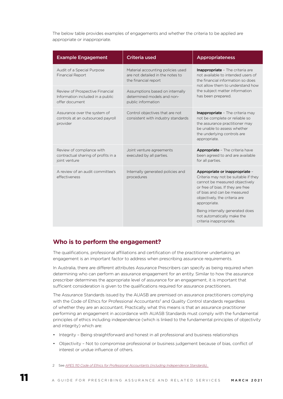The below table provides examples of engagements and whether the criteria to be applied are appropriate or inappropriate.

| <b>Example Engagement</b>                                                             | <b>Criteria used</b>                                                                          | Appropriateness                                                                                                                                                                                                                                                                                                           |
|---------------------------------------------------------------------------------------|-----------------------------------------------------------------------------------------------|---------------------------------------------------------------------------------------------------------------------------------------------------------------------------------------------------------------------------------------------------------------------------------------------------------------------------|
| Audit of a Special Purpose<br><b>Financial Report</b>                                 | Material accounting policies used<br>are not detailed in the notes to<br>the financial report | Inappropriate - The criteria are<br>not available to intended users of<br>the financial information so does<br>not allow them to understand how                                                                                                                                                                           |
| Review of Prospective Financial<br>Information included in a public<br>offer document | Assumptions based on internally<br>determined models and non-<br>public information           | the subject matter information<br>has been prepared.                                                                                                                                                                                                                                                                      |
| Assurance over the system of<br>controls at an outsourced payroll<br>provider         | Control objectives that are not<br>consistent with industry standards                         | Inappropriate - The criteria may<br>not be complete or reliable so<br>the assurance practitioner may<br>be unable to assess whether<br>the underlying controls are<br>appropriate.                                                                                                                                        |
| Review of compliance with<br>contractual sharing of profits in a<br>joint venture     | Joint venture agreements<br>executed by all parties.                                          | Appropriate - The criteria have<br>been agreed to and are available<br>for all parties.                                                                                                                                                                                                                                   |
| A review of an audit committee's<br>effectiveness                                     | Internally generated policies and<br>procedures                                               | Appropriate or inappropriate -<br>Criteria may not be suitable if they<br>cannot be measured objectively<br>or free of bias. If they are free<br>of bias and can be measured<br>objectively, the criteria are<br>appropriate.<br>Being internally generated does<br>not automatically make the<br>criteria inappropriate. |

### **Who is to perform the engagement?**

The qualifications, professional affiliations and certification of the practitioner undertaking an engagement is an important factor to address when prescribing assurance requirements.

In Australia, there are different attributes Assurance Prescribers can specify as being required when determining who can perform an assurance engagement for an entity. Similar to how the assurance prescriber determines the appropriate level of assurance for an engagement, it is important that sufficient consideration is given to the qualifications required for assurance practitioners.

The Assurance Standards issued by the AUASB are premised on assurance practitioners complying with the Code of Ethics for Professional Accountants<sup>2</sup> and Quality Control standards regardless of whether they are an accountant. Practically, what this means is that an assurance practitioner performing an engagement in accordance with AUASB Standards must comply with the fundamental principles of ethics including independence (which is linked to the fundamental principles of objectivity and integrity) which are:

- Integrity Being straightforward and honest in all professional and business relationships
- Objectivity Not to compromise professional or business judgement because of bias, conflict of interest or undue influence of others.
- 2 See *[APES 110 Code of Ethics for Professional Accountants \(including Independence Standards\).](https://apesb.org.au/standards-guidance/)*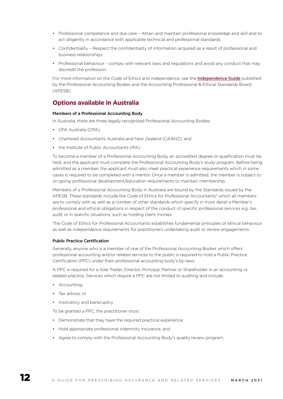- Professional competence and due care Attain and maintain professional knowledge and skill and to act diligently in accordance with applicable technical and professional standards.
- Confidentiality Respect the confidentiality of information acquired as a result of professional and business relationships.
- Professional behaviour comply with relevant laws and regulations and avoid any conduct that may discredit the profession.

For more information on the Code of Ethics and independence, see the **[Independence Guide](https://apesb.org.au/uploads/home/27052020043807_APESB_Independence_Guide_May_2020.pdf)** published by the Professional Accounting Bodies and the Accounting Professional & Ethical Standards Board (APESB).

## **Options available in Australia**

#### Members of a Professional Accounting Body

In Australia, there are three legally recognised Professional Accounting Bodies:

- CPA Australia (CPA);
- Chartered Accountants Australia and New Zealand (CAANZ); and
- the Institute of Public Accountants (IPA).

To become a member of a Professional Accounting Body, an accredited degree or qualification must be held, and the applicant must complete the Professional Accounting Body's study program. Before being admitted as a member, the applicant must also meet practical experience requirements which in some cases is required to be completed with a mentor. Once a member is admitted, the member is subject to on-going professional development/education requirements to maintain membership.

Members of a Professional Accounting Body in Australia are bound by the Standards issued by the APESB. These standards include the Code of Ethics for Professional Accountants<sup>2</sup> which all members are to comply with as well as a number of other standards which specify in more detail a Member's professional and ethical obligations in respect of the conduct of specific professional services e.g. tax, audit or in specific situations, such as holding client monies.

The Code of Ethics for Professional Accountants establishes fundamental principles of ethical behaviour as well as independence requirements for practitioners undertaking audit or review engagements.

#### Public Practice Certification

Generally, anyone who is a member of one of the Professional Accounting Bodies which offers professional accounting and/or related services to the public is required to hold a Public Practice Certification (PPC) under their professional accounting body's by-laws.

A PPC is required for a Sole Trader, Director, Principal, Partner or Shareholder in an accounting or related practice. Services which require a PPC are not limited to auditing and include:

- Accounting;
- Tax advice; or
- Insolvency and bankruptcy.

To be granted a PPC, the practitioner must:

- Demonstrate that they have the required practical experience;
- Hold appropriate professional indemnity insurance; and
- Agree to comply with the Professional Accounting Body's quality review program.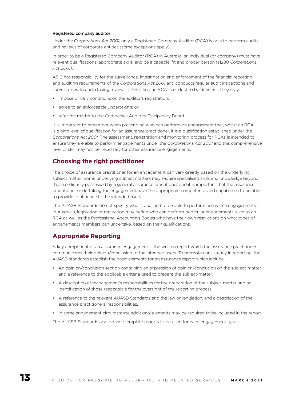#### Registered company auditor

Under the *Corporations Act 2001,* only a Registered Company Auditor (RCA) is able to perform audits and reviews of corporate entities (some exceptions apply).

In order to be a Registered Company Auditor (RCA) in Australia, an individual (or company) must have relevant qualifications, appropriate skills, and be a capable, fit and proper person (s1280 *Corporations Act 2001).* 

ASIC has responsibility for the surveillance, investigation and enforcement of the financial reporting and auditing requirements of the *Corporations Act 2001* and conducts regular audit inspections and surveillances. In undertaking reviews, if ASIC find an RCA's conduct to be deficient, they may:

- impose or vary conditions on the auditor's registration;
- agree to an enforceable undertaking; or
- refer the matter to the Companies Auditors Disciplinary Board.

It is important to remember when prescribing who can perform an engagement that, whilst an RCA is a high level of qualification for an assurance practitioner, it is a qualification established under the *Corporations Act 2001.* The assessment, registration and monitoring process for RCAs is intended to ensure they are able to perform engagements under the *Corporations Act 2001* and this comprehensive level of skill may not be necessary for other assurance engagements.

### **Choosing the right practitioner**

The choice of assurance practitioner for an engagement can vary greatly based on the underlying subject matter. Some underlying subject matters may require specialised skills and knowledge beyond those ordinarily possessed by a general assurance practitioner and it is important that the assurance practitioner undertaking the engagement have the appropriate competence and capabilities to be able to provide confidence to the intended users.

The AUASB Standards do not specify who is qualified to be able to perform assurance engagements. In Australia, legislation or regulation may define who can perform particular engagements such as an RCA as well as the Professional Accounting Bodies who have their own restrictions on what types of engagements members can undertake, based on their qualifications.

### **Appropriate Reporting**

A key component of an assurance engagement is the written report which the assurance practitioner communicates their opinion/conclusion to the intended users. To promote consistency in reporting, the AUASB standards establish the basic elements for an assurance report which include:

- An opinion/conclusion section containing an expression of opinion/conclusion on the subject-matter and a reference to the applicable criteria used to prepare the subject-matter.
- A description of management's responsibilities for the preparation of the subject-matter and an identification of those responsible for the oversight of the reporting process.
- A reference to the relevant AUASB Standards and the law or regulation, and a description of the assurance practitioners' responsibilities.
- In some engagement circumstance additional elements may be required to be included in the report.

The AUASB Standards also provide template reports to be used for each engagement type.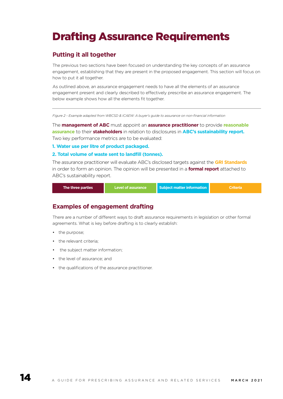## Drafting Assurance Requirements

### **Putting it all together**

The previous two sections have been focused on understanding the key concepts of an assurance engagement, establishing that they are present in the proposed engagement. This section will focus on how to put it all together.

As outlined above, an assurance engagement needs to have all the elements of an assurance engagement present and clearly described to effectively prescribe an assurance engagement. The below example shows how all the elements fit together.

*Figure 2 - Example adapted from WBCSD & ICAEW: A buyer's guide to assurance on non-financial information*

The **management of ABC** must appoint an **assurance practitioner** to provide **reasonable assurance** to their **stakeholders** in relation to disclosures in **ABC's sustainability report.**  Two key performance metrics are to be evaluated:

**1. Water use per litre of product packaged.**

#### **2. Total volume of waste sent to landfill (tonnes).**

The assurance practitioner will evaluate ABC's disclosed targets against the **GRI Standards** in order to form an opinion. The opinion will be presented in a **formal report** attached to ABC's sustainability report.

| The three parties | Level of assurance | Subject matter information | Criteria <sup>.</sup> |
|-------------------|--------------------|----------------------------|-----------------------|
|-------------------|--------------------|----------------------------|-----------------------|

### **Examples of engagement drafting**

There are a number of different ways to draft assurance requirements in legislation or other formal agreements. What is key before drafting is to clearly establish:

- the purpose;
- the relevant criteria:
- the subject matter information;
- the level of assurance; and
- the qualifications of the assurance practitioner.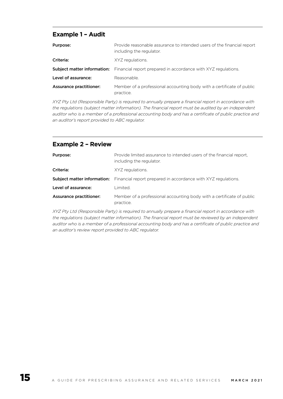## **Example 1 – Audit**

| Purpose:                       | Provide reasonable assurance to intended users of the financial report<br>including the regulator. |
|--------------------------------|----------------------------------------------------------------------------------------------------|
| Criteria:                      | XYZ regulations.                                                                                   |
| Subject matter information:    | Financial report prepared in accordance with XYZ regulations.                                      |
| Level of assurance:            | Reasonable.                                                                                        |
| <b>Assurance practitioner:</b> | Member of a professional accounting body with a certificate of public<br>practice.                 |

*XYZ Pty Ltd (Responsible Party) is required to annually prepare a financial report in accordance with the regulations (subject matter information). The financial report must be audited by an independent auditor who is a member of a professional accounting body and has a certificate of public practice and an auditor's report provided to ABC regulator.* 

## **Example 2 – Review**

| Purpose:                       | Provide limited assurance to intended users of the financial report.<br>including the regulator. |
|--------------------------------|--------------------------------------------------------------------------------------------------|
| Criteria:                      | XYZ regulations.                                                                                 |
|                                | <b>Subject matter information:</b> Financial report prepared in accordance with XYZ regulations. |
| Level of assurance:            | Limited.                                                                                         |
| <b>Assurance practitioner:</b> | Member of a professional accounting body with a certificate of public<br>practice.               |

*XYZ Pty Ltd (Responsible Party) is required to annually prepare a financial report in accordance with the regulations (subject matter information). The financial report must be reviewed by an independent auditor who is a member of a professional accounting body and has a certificate of public practice and an auditor's review report provided to ABC regulator.*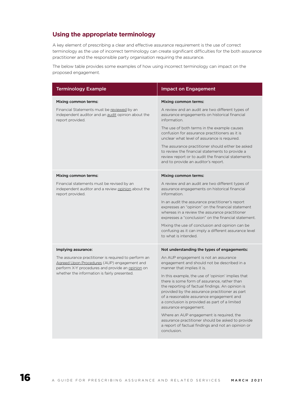## **Using the appropriate terminology**

A key element of prescribing a clear and effective assurance requirement is the use of correct terminology as the use of incorrect terminology can create significant difficulties for the both assurance practitioner and the responsible party organisation requiring the assurance.

The below table provides some examples of how using incorrect terminology can impact on the proposed engagement.

| <b>Terminology Example</b>                                                                                                                                                                                                     | <b>Impact on Engagement</b>                                                                                                                                                                                                                                                                                                                                                                                                                                                                                                                                                                                                                                               |
|--------------------------------------------------------------------------------------------------------------------------------------------------------------------------------------------------------------------------------|---------------------------------------------------------------------------------------------------------------------------------------------------------------------------------------------------------------------------------------------------------------------------------------------------------------------------------------------------------------------------------------------------------------------------------------------------------------------------------------------------------------------------------------------------------------------------------------------------------------------------------------------------------------------------|
| Mixing common terms:<br>Financial Statements must be reviewed by an<br>independent auditor and an audit opinion about the<br>report provided.                                                                                  | Mixing common terms:<br>A review and an audit are two different types of<br>assurance engagements on historical financial<br>information.<br>The use of both terms in the example causes<br>confusion for assurance practitioners as it is<br>unclear what level of assurance is required.<br>The assurance practitioner should either be asked<br>to review the financial statements to provide a<br>review report or to audit the financial statements<br>and to provide an auditor's report.                                                                                                                                                                           |
| Mixing common terms:<br>Financial statements must be revised by an<br>independent auditor and a review opinion about the<br>report provided.                                                                                   | Mixing common terms:<br>A review and an audit are two different types of<br>assurance engagements on historical financial<br>information<br>In an audit the assurance practitioner's report<br>expresses an "opinion" on the financial statement<br>whereas in a review the assurance practitioner<br>expresses a "conclusion" on the financial statement.<br>Mixing the use of conclusion and opinion can be<br>confusing as it can imply a different assurance level<br>to what is intended.                                                                                                                                                                            |
| Implying assurance:<br>The assurance practitioner is required to perform an<br>Agreed Upon Procedures (AUP) engagement and<br>perform X-Y procedures and provide an opinion on<br>whether the information is fairly presented. | Not understanding the types of engagements:<br>An AUP engagement is not an assurance<br>engagement and should not be described in a<br>manner that implies it is.<br>In this example, the use of 'opinion' implies that<br>there is some form of assurance, rather than<br>the reporting of factual findings. An opinion is<br>provided by the assurance practitioner as part<br>of a reasonable assurance engagement and<br>a conclusion is provided as part of a limited<br>assurance engagement.<br>Where an AUP engagement is required, the<br>assurance practitioner should be asked to provide<br>a report of factual findings and not an opinion or<br>conclusion. |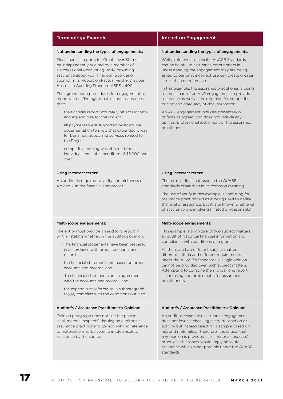| <b>Terminology Example</b>                                                                                                                                                                                                                                                                                                                                                                                                                                                                                                                                                                                                                                                                                                                                                                                 | <b>Impact on Engagement</b>                                                                                                                                                                                                                                                                                                                                                                                                                                                                                                                                                                                                                          |
|------------------------------------------------------------------------------------------------------------------------------------------------------------------------------------------------------------------------------------------------------------------------------------------------------------------------------------------------------------------------------------------------------------------------------------------------------------------------------------------------------------------------------------------------------------------------------------------------------------------------------------------------------------------------------------------------------------------------------------------------------------------------------------------------------------|------------------------------------------------------------------------------------------------------------------------------------------------------------------------------------------------------------------------------------------------------------------------------------------------------------------------------------------------------------------------------------------------------------------------------------------------------------------------------------------------------------------------------------------------------------------------------------------------------------------------------------------------------|
| Not understanding the types of engagements:<br>Final financial reports for Grants over \$X must<br>be independently audited by a member of<br>a Professional Accounting Body, providing<br>assurance about your financial report and<br>submitting a 'Report on Factual Findings' as per<br>Australian Auditing Standard ASRS 4400:<br>The agreed upon procedures for engagement to<br>report factual findings, must include assurances<br>that:<br>the financial report accurately reflects income<br>and expenditure for the Project.<br>· all payments were supported by adequate<br>documentation to show that expenditure was<br>for bona fide goods and services related to<br>the Project.<br>· competitive pricing was obtained for all<br>individual items of expenditure of \$5,000 and<br>over. | Not understanding the types of engagements:<br>Whilst reference to specific AUASB Standards<br>can be helpful to assurance practitioners in<br>understanding the engagement they are being<br>asked to perform, incorrect use can create greater<br>issues than no reference.<br>In this example, the assurance practitioner is being<br>asked as part of an AUP engagement to provide<br>assurance as well as their opinion for competitive<br>pricing and adequacy of documentation.<br>An AUP engagement includes presentation<br>of facts as agreed and does not include any<br>opinion/professional judgement of the assurance<br>practitioner. |
| Using incorrect terms:<br>An auditor is required to verify completeness of<br>X.Y and Z in the financial statements.                                                                                                                                                                                                                                                                                                                                                                                                                                                                                                                                                                                                                                                                                       | Using incorrect terms:<br>The term verify is not used in the AUASB<br>standards other than in its common meaning.<br>The use of verify in this example is confusing for<br>assurance practitioners as it being used to define<br>the level of assurance, but it is unknown what level<br>of assurance it is implying (limited or reasonable).                                                                                                                                                                                                                                                                                                        |
| Multi-scope engagements:<br>The entity must provide an auditor's report in<br>writing stating whether, in the auditor's opinion:<br>· The financial statements have been prepared<br>in accordance with proper accounts and<br>records;<br>the financial statements are based on proper<br>accounts and records: and<br>$\cdot$ the financial statements are in agreement<br>with the accounts and records: and<br>the expenditure referred to in subparagraph<br>(a)(iv) complies with the conditions outlined.                                                                                                                                                                                                                                                                                           | Multi-scope engagements:<br>This example is a mixture of two subject matters,<br>an audit of historical financial information and<br>compliance with conditions of a grant.<br>As there are two different subject matters,<br>different criteria and different requirements<br>under the AUASB's Standards, a single opinion<br>cannot be provided over both subject matters.<br>Attempting to combine them under one report<br>is confusing and problematic for assurance<br>practitioners.                                                                                                                                                         |
| Auditor's / Assurance Practitioner's Opinion:<br>Opinion paragraph does not use the phrase<br>'in all material respects'. Issuing an auditor's /<br>assurance practitioner's opinion with no reference<br>to materiality may be seen to imply absolute<br>assurance by the auditor.                                                                                                                                                                                                                                                                                                                                                                                                                                                                                                                        | Auditor's / Assurance Practitioner's Opinion:<br>An audit or reasonable assurance engagement<br>does not involve checking every transaction or<br>activity but instead selecting a sample based on<br>risk and materiality. Therefore, it is critical that<br>any opinion is provided in 'all material respects'<br>otherwise the report would imply absolute<br>assurance which is not possible under the AUASB<br>standards.                                                                                                                                                                                                                       |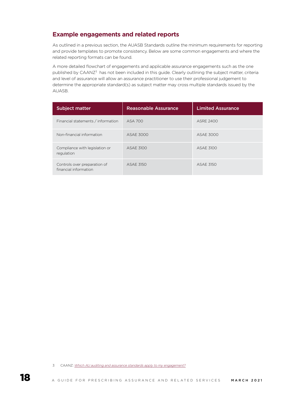## **Example engagements and related reports**

As outlined in a previous section, the AUASB Standards outline the minimum requirements for reporting and provide templates to promote consistency. Below are some common engagements and where the related reporting formats can be found.

A more detailed flowchart of engagements and applicable assurance engagements such as the one published by CAANZ<sup>3</sup> has not been included in this guide. Clearly outlining the subject matter, criteria and level of assurance will allow an assurance practitioner to use their professional judgement to determine the appropriate standard(s) as subject matter may cross multiple standards issued by the AUASB.

| <b>Subject matter</b>                                 | <b>Reasonable Assurance</b> | <b>Limited Assurance</b> |
|-------------------------------------------------------|-----------------------------|--------------------------|
| Financial statements / information                    | ASA 700                     | <b>ASRE 2400</b>         |
| Non-financial information                             | ASAE 3000                   | ASAF 3000                |
| Compliance with legislation or<br>regulation          | ASAE 3100                   | ASAE 3100                |
| Controls over preparation of<br>financial information | <b>ASAF 3150</b>            | <b>ASAE 3150</b>         |

<sup>3</sup> CAANZ: *[Which AU auditing and assurance standards apply to my engagement?](https://www.charteredaccountantsanz.com/-/media/3d34e940a22641d0b43838a4aa1ea9fa.ashx)*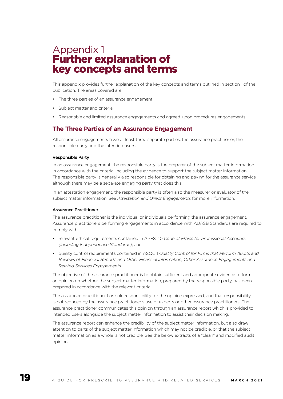## Appendix 1 Further explanation of key concepts and terms

This appendix provides further explanation of the key concepts and terms outlined in section 1 of the publication. The areas covered are:

- The three parties of an assurance engagement;
- Subject matter and criteria:
- Reasonable and limited assurance engagements and agreed-upon procedures engagements;

### **The Three Parties of an Assurance Engagement**

All assurance engagements have at least three separate parties, the assurance practitioner, the responsible party and the intended users.

#### Responsible Party

In an assurance engagement, the responsible party is the preparer of the subject matter information in accordance with the criteria, including the evidence to support the subject matter information. The responsible party is generally also responsible for obtaining and paying for the assurance service although there may be a separate engaging party that does this.

In an attestation engagement, the responsible party is often also the measurer or evaluator of the subject matter information. See *Attestation and Direct Engagements* for more information.

#### Assurance Practitioner

The assurance practitioner is the individual or individuals performing the assurance engagement. Assurance practitioners performing engagements in accordance with AUASB Standards are required to comply with:

- relevant ethical requirements contained in APES 110 *Code of Ethics for Professional Accounts (including Independence Standards)*; and
- quality control requirements contained in ASQC 1 *Quality Control for Firms that Perform Audits and Reviews of Financial Reports and Other Financial Information, Other Assurance Engagements and Related Services Engagements.*

The objective of the assurance practitioner is to obtain sufficient and appropriate evidence to form an opinion on whether the subject matter information, prepared by the responsible party, has been prepared in accordance with the relevant criteria.

The assurance practitioner has sole responsibility for the opinion expressed, and that responsibility is not reduced by the assurance practitioner's use of experts or other assurance practitioners. The assurance practitioner communicates this opinion through an assurance report which is provided to intended users alongside the subject matter information to assist their decision making.

The assurance report can enhance the credibility of the subject matter information, but also draw attention to parts of the subject matter information which may not be credible, or that the subject matter information as a whole is not credible. See the below extracts of a "clean" and modified audit opinion.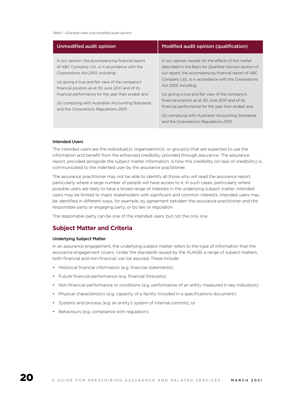#### *Table 1 - Example clean and modified audit opinion*

| Unmodified audit opinion                                                                                                                                                                                                                                                                                                                                                                               | Modified audit opinion (qualification)                                                                                                                                                                                                                                                                                                                                                                                                                                      |
|--------------------------------------------------------------------------------------------------------------------------------------------------------------------------------------------------------------------------------------------------------------------------------------------------------------------------------------------------------------------------------------------------------|-----------------------------------------------------------------------------------------------------------------------------------------------------------------------------------------------------------------------------------------------------------------------------------------------------------------------------------------------------------------------------------------------------------------------------------------------------------------------------|
| In our opinion, the accompanying financial report<br>of ABC Company Ltd., is in accordance with the<br>Corporations Act 2001, including:<br>(a) giving a true and fair view of the company's<br>financial position as at 30 June 20X1 and of its<br>financial performance for the year then ended; and<br>(b) complying with Australian Accounting Standards<br>and the Corporations Regulations 2001. | In our opinion, except for the effects of the matter<br>described in the Basis for Qualified Opinion section of<br>our report, the accompanying financial report of ABC<br>Company Ltd., is in accordance with the Corporations<br>Act 2001, including:<br>(a) giving a true and fair view of the company's<br>financial position as at 30 June 20X1 and of its<br>financial performance for the year then ended; and<br>(b) complying with Australian Accounting Standards |
|                                                                                                                                                                                                                                                                                                                                                                                                        | and the Corporations Regulations 2001.                                                                                                                                                                                                                                                                                                                                                                                                                                      |

#### Intended Users

The intended users are the individual(s), organisation(s), or group(s) that are expected to use the information and benefit from the enhanced credibility provided through assurance. The assurance report, provided alongside the subject matter information, is how this credibility (or lack of credibility) is communicated to the indented user by the assurance practitioner.

The assurance practitioner may not be able to identify all those who will read the assurance report, particularly where a large number of people will have access to it. In such cases, particularly where possible users are likely to have a broad range of interests in the underlying subject matter, intended users may be limited to major stakeholders with significant and common interests. Intended users may be identified in different ways, for example, by agreement between the assurance practitioner and the responsible party or engaging party, or by law or regulation

The responsible party can be one of the intended users, but not the only one.

#### **Subject Matter and Criteria**

#### Underlying Subject Matter

In an assurance engagement, the underlying subject matter refers to the type of information that the assurance engagement covers. Under the standards issued by the AUASB, a range of subject matters, both financial and non-financial, can be assured, These include:

- Historical financial information (e.g. financial statements);
- Future financial performance (e.g. financial forecasts);
- Non-financial performance or conditions (e.g. performance of an entity measured in key indicators);
- Physical characteristics (e.g. capacity of a facility included in a specifications document);
- Systems and process (e.g. an entity's system of internal controls); or
- Behaviours (e.g. compliance with regulation).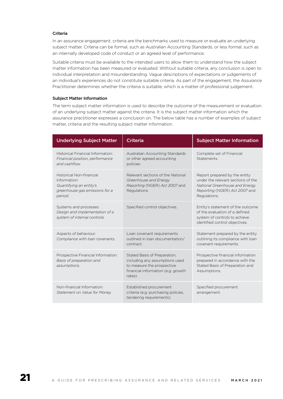#### Criteria

In an assurance engagement, criteria are the benchmarks used to measure or evaluate an underlying subject matter. Criteria can be formal, such as Australian Accounting Standards, or less formal, such as an internally developed code of conduct or an agreed level of performance.

Suitable criteria must be available to the intended users to allow them to understand how the subject matter information has been measured or evaluated. Without suitable criteria, any conclusion is open to individual interpretation and misunderstanding. Vague descriptions of expectations or judgements of an individual's experiences do not constitute suitable criteria. As part of the engagement, the Assurance Practitioner determines whether the criteria is suitable, which is a matter of professional judgement.

#### Subject Matter Information

The term subject matter information is used to describe the outcome of the measurement or evaluation of an underlying subject matter against the criteria. It is the subject matter information which the assurance practitioner expresses a conclusion on. The below table has a number of examples of subject matter, criteria and the resulting subject matter information.

| <b>Underlying Subject Matter</b>                                                                                        | <b>Criteria</b>                                                                                                                               | <b>Subject Matter Information</b>                                                                                                                      |
|-------------------------------------------------------------------------------------------------------------------------|-----------------------------------------------------------------------------------------------------------------------------------------------|--------------------------------------------------------------------------------------------------------------------------------------------------------|
| Historical Financial Information:<br>Financial position, performance<br>and cashflow.                                   | Australian Accounting Standards<br>or other agreed accounting<br>policies.                                                                    | Complete set of Financial<br>Statements.                                                                                                               |
| <b>Historical Non-financial</b><br>Information:<br>Quantifying an entity's<br>greenhouse gas emissions for a<br>period. | Relevant sections of the National<br>Greenhouse and Energy<br>Reporting (NGER) Act 2007 and<br>Regulations.                                   | Report prepared by the entity<br>under the relevant sections of the<br>National Greenhouse and Energy<br>Reporting (NGER) Act 2007 and<br>Regulations. |
| Systems and processes:<br>Design and implementation of a<br>system of internal controls.                                | Specified control objectives.                                                                                                                 | Entity's statement of the outcome<br>of the evaluation of a defined<br>system of controls to achieve<br>identified control objectives.                 |
| Aspects of behaviour:<br>Compliance with loan covenants.                                                                | Loan covenant requirements<br>outlined in loan documentation/<br>contract.                                                                    | Statement prepared by the entity<br>outlining its compliance with loan<br>covenant requirements.                                                       |
| Prospective Financial Information:<br>Basis of preparation and<br>assumptions.                                          | Stated Basis of Preparation,<br>including any assumptions used<br>to measure the prospective<br>financial information (e.g. growth<br>rates). | Prospective financial information<br>prepared in accordance with the<br>Stated Basis of Preparation and<br>Assumptions.                                |
| Non-financial Information:<br>Statement on Value for Money.                                                             | Established procurement<br>criteria (e.g. purchasing policies,<br>tendering requirements).                                                    | Specified procurement<br>arrangement.                                                                                                                  |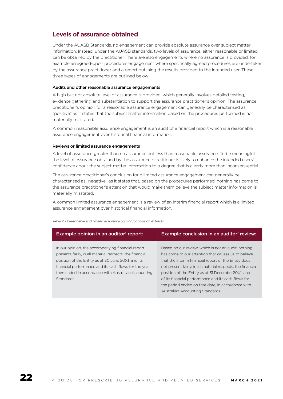## **Levels of assurance obtained**

Under the AUASB Standards, no engagement can provide absolute assurance over subject matter information. Instead, under the AUASB standards, two levels of assurance, either reasonable or limited, can be obtained by the practitioner. There are also engagements where no assurance is provided, for example an agreed-upon procedures engagement where specifically agreed procedures are undertaken by the assurance practitioner and a report outlining the results provided to the intended user. These three types of engagements are outlined below.

#### Audits and other reasonable assurance engagements

A high but not absolute level of assurance is provided, which generally involves detailed testing, evidence gathering and substantiation to support the assurance practitioner's opinion. The assurance practitioner's opinion for a reasonable assurance engagement can generally be characterised as "positive" as it states that the subject matter information based on the procedures performed is not materially misstated.

A common reasonable assurance engagement is an audit of a financial report which is a reasonable assurance engagement over historical financial information.

#### Reviews or limited assurance engagements

A level of assurance greater than no assurance but less than reasonable assurance. To be meaningful, the level of assurance obtained by the assurance practitioner is likely to enhance the intended users' confidence about the subject matter information to a degree that is clearly more than inconsequential.

The assurance practitioner's conclusion for a limited assurance engagement can generally be characterised as "negative" as it states that, based on the procedures performed, nothing has come to the assurance practitioner's attention that would make them believe the subject matter information is materially misstated.

A common limited assurance engagement is a review of an interim financial report which is a limited assurance engagement over historical financial information.

| Example opinion in an auditor' report:                   | Example conclusion in an auditor' review:                   |
|----------------------------------------------------------|-------------------------------------------------------------|
|                                                          |                                                             |
| In our opinion, the accompanying financial report        | Based on our review, which is not an audit, nothing         |
| presents fairly, in all material respects, the financial | has come to our attention that causes us to believe         |
| position of the Entity as at 30 June 20X1, and its       | that the interim financial report of the Entity does        |
| financial performance and its cash flows for the year    | not present fairly, in all material respects, the financial |
| then ended in accordance with Australian Accounting      | position of the Entity as at 31 December 20X1, and          |
| Standards.                                               | of its financial performance and its cash flows for         |
|                                                          | the period ended on that date, in accordance with           |
|                                                          | Australian Accounting Standards.                            |

*Table 2 - Reasonable and limited assurance opinion/conclusion extracts*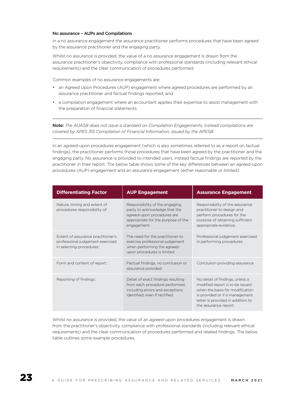#### No assurance – AUPs and Compilations

In a no assurance engagement the assurance practitioner performs procedures that have been agreed by the assurance practitioner and the engaging party.

Whilst no assurance is provided, the value of a no assurance engagement is drawn from the assurance practitioner's objectivity, compliance with professional standards (including relevant ethical requirements) and the clear communication of procedures performed.

Common examples of no assurance engagements are:

- an Agreed Upon Procedures (AUP) engagement where agreed procedures are performed by an assurance practitioner and factual findings reported; and
- a compilation engagement where an accountant applies their expertise to assist management with the preparation of financial statements.

Note: *The AUASB does not issue a standard on Compilation Engagements, instead compilations are covered by APES 315 Compilation of Financial Information, issued by the APESB.*

In an agreed-upon procedures engagement (which is also sometimes referred to as a report on factual findings), the practitioner performs those procedures that have been agreed by the practitioner and the engaging party. No assurance is provided to intended users, instead factual findings are reported by the practitioner in their report. The below table shows some of the key differences between an agreed-upon procedures (AUP) engagement and an assurance engagement (either reasonable or limited).

| <b>Differentiating Factor</b>                                                                      | <b>AUP Engagement</b>                                                                                                                              | <b>Assurance Engagement</b>                                                                                                                                                                           |
|----------------------------------------------------------------------------------------------------|----------------------------------------------------------------------------------------------------------------------------------------------------|-------------------------------------------------------------------------------------------------------------------------------------------------------------------------------------------------------|
| Nature, timing and extent of<br>procedures responsibility of:                                      | Responsibility of the engaging<br>party to acknowledge that the<br>agreed-upon procedures are<br>appropriate for the purpose of the<br>engagement. | Responsibility of the assurance<br>practitioner to design and<br>perform procedures for the<br>purpose of obtaining sufficient<br>appropriate evidence.                                               |
| Extent of assurance practitioner's<br>professional judgement exercised<br>in selecting procedures: | The need for the practitioner to<br>exercise professional judgement<br>when performing the agreed-<br>upon procedures is limited.                  | Professional judgement exercised<br>in performing procedures.                                                                                                                                         |
| Form and content of report:                                                                        | Factual findings, no conclusion or<br>assurance provided                                                                                           | Conclusion providing assurance.                                                                                                                                                                       |
| Reporting of findings:                                                                             | Detail of exact findings resulting<br>from each procedure performed,<br>including errors and exceptions<br>identified, even if rectified.          | No detail of findings, unless a<br>modified report is to be issued<br>when the basis for modification<br>is provided or if a management<br>letter is provided in addition to<br>the assurance report. |

Whilst no assurance is provided, the value of an agreed-upon procedures engagement is drawn from the practitioner's objectivity, compliance with professional standards (including relevant ethical requirements) and the clear communication of procedures performed and related findings. The below table outlines some example procedures.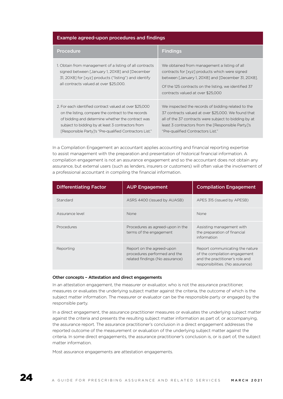#### Example agreed-upon procedures and findings

| Procedure                                                                                                                                                                                                                                                                           | <b>Findings</b>                                                                                                                                                                                                                                               |
|-------------------------------------------------------------------------------------------------------------------------------------------------------------------------------------------------------------------------------------------------------------------------------------|---------------------------------------------------------------------------------------------------------------------------------------------------------------------------------------------------------------------------------------------------------------|
| 1. Obtain from management of a listing of all contracts<br>signed between [January 1, 20X8] and [December<br>31, 20X8] for [xyz] products ("listing") and identify<br>all contracts valued at over \$25,000.                                                                        | We obtained from management a listing of all<br>contracts for [xyz] products which were signed<br>between [January 1, 20X8] and [December 31, 20X8].<br>Of the 125 contracts on the listing, we identified 37<br>contracts valued at over \$25,000            |
| 2. For each identified contract valued at over \$25,000<br>on the listing, compare the contract to the records<br>of bidding and determine whether the contract was<br>subject to bidding by at least 3 contractors from<br>[Responsible Party]'s "Pre-qualified Contractors List." | We inspected the records of bidding related to the<br>37 contracts valued at over \$25,000. We found that<br>all of the 37 contracts were subject to bidding by at<br>least 3 contractors from the [Responsible Party]'s<br>"Pre-qualified Contractors List." |

In a Compilation Engagement an accountant applies accounting and financial reporting expertise to assist management with the preparation and presentation of historical financial information. A compilation engagement is not an assurance engagement and so the accountant does not obtain any assurance, but external users (such as lenders, insurers or customers) will often value the involvement of a professional accountant in compiling the financial information.

| <b>Differentiating Factor</b> | <b>AUP Engagement</b>                                                                        | <b>Compilation Engagement</b>                                                                                                           |
|-------------------------------|----------------------------------------------------------------------------------------------|-----------------------------------------------------------------------------------------------------------------------------------------|
| Standard                      | ASRS 4400 (issued by AUASB)                                                                  | APES 315 (issued by APESB)                                                                                                              |
| Assurance level               | <b>None</b>                                                                                  | None                                                                                                                                    |
| Procedures                    | Procedures as agreed-upon in the<br>terms of the engagement                                  | Assisting management with<br>the preparation of financial<br>information                                                                |
| Reporting                     | Report on the agreed-upon<br>procedures performed and the<br>related findings (No assurance) | Report communicating the nature<br>of the compilation engagement<br>and the practitioner's role and<br>responsibilities. (No assurance) |

#### Other concepts – Attestation and direct engagements

In an attestation engagement, the measurer or evaluator, who is not the assurance practitioner, measures or evaluates the underlying subject matter against the criteria, the outcome of which is the subject matter information. The measurer or evaluator can be the responsible party or engaged by the responsible party.

In a direct engagement, the assurance practitioner measures or evaluates the underlying subject matter against the criteria and presents the resulting subject matter information as part of, or accompanying, the assurance report. The assurance practitioner's conclusion in a direct engagement addresses the reported outcome of the measurement or evaluation of the underlying subject matter against the criteria. In some direct engagements, the assurance practitioner's conclusion is, or is part of, the subject matter information.

Most assurance engagements are attestation engagements.